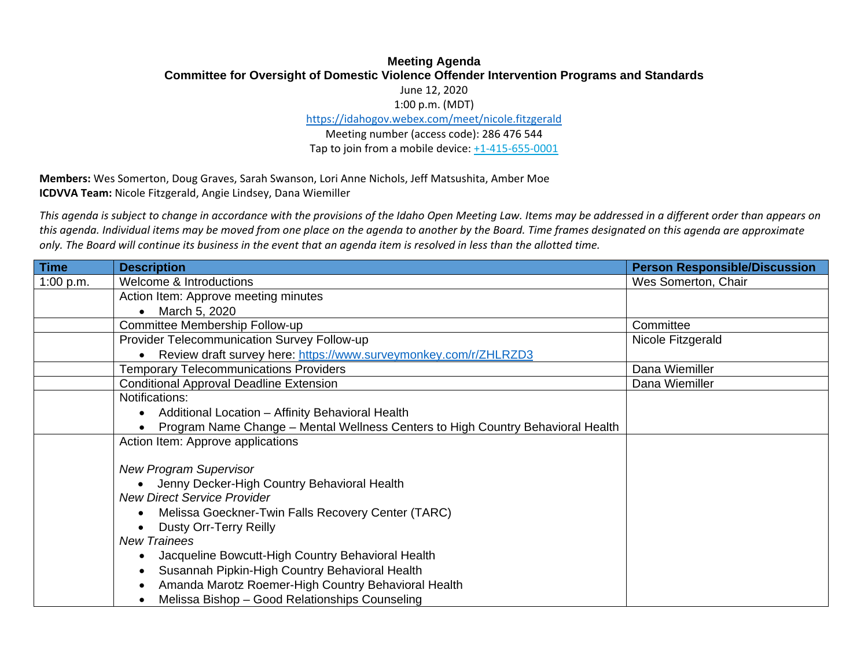## **Meeting Agenda Committee for Oversight of Domestic Violence Offender Intervention Programs and Standards**

June 12, 2020

1:00 p.m. (MDT)

https://idahogov.webex.com/meet/nicole.fitzgerald

Meeting number (access code): 286 476 544 Tap to join from <sup>a</sup> mobile device: +1‐415‐655‐0001

**Members:** Wes Somerton, Doug Graves, Sarah Swanson, Lori Anne Nichols, Jeff Matsushita, Amber Moe **ICDVVA Team:** Nicole Fitzgerald, Angie Lindsey, Dana Wiemiller

This agenda is subject to change in accordance with the provisions of the Idaho Open Meeting Law. Items may be addressed in a different order than appears on this agenda. Individual items may be moved from one place on the agenda to another by the Board. Time frames designated on this agenda are approximate only. The Board will continue its business in the event that an agenda item is resolved in less than the allotted time.

| <b>Time</b> | <b>Description</b>                                                              | <b>Person Responsible/Discussion</b> |
|-------------|---------------------------------------------------------------------------------|--------------------------------------|
| 1:00 p.m.   | Welcome & Introductions                                                         | Wes Somerton, Chair                  |
|             | Action Item: Approve meeting minutes                                            |                                      |
|             | March 5, 2020                                                                   |                                      |
|             | Committee Membership Follow-up                                                  | Committee                            |
|             | Provider Telecommunication Survey Follow-up                                     | Nicole Fitzgerald                    |
|             | Review draft survey here: https://www.surveymonkey.com/r/ZHLRZD3                |                                      |
|             | <b>Temporary Telecommunications Providers</b>                                   | Dana Wiemiller                       |
|             | <b>Conditional Approval Deadline Extension</b>                                  | Dana Wiemiller                       |
|             | Notifications:                                                                  |                                      |
|             | Additional Location - Affinity Behavioral Health                                |                                      |
|             | Program Name Change - Mental Wellness Centers to High Country Behavioral Health |                                      |
|             | Action Item: Approve applications                                               |                                      |
|             |                                                                                 |                                      |
|             | <b>New Program Supervisor</b>                                                   |                                      |
|             | Jenny Decker-High Country Behavioral Health                                     |                                      |
|             | <b>New Direct Service Provider</b>                                              |                                      |
|             | Melissa Goeckner-Twin Falls Recovery Center (TARC)                              |                                      |
|             | <b>Dusty Orr-Terry Reilly</b>                                                   |                                      |
|             | <b>New Trainees</b>                                                             |                                      |
|             | Jacqueline Bowcutt-High Country Behavioral Health                               |                                      |
|             | Susannah Pipkin-High Country Behavioral Health                                  |                                      |
|             | Amanda Marotz Roemer-High Country Behavioral Health                             |                                      |
|             | Melissa Bishop - Good Relationships Counseling                                  |                                      |